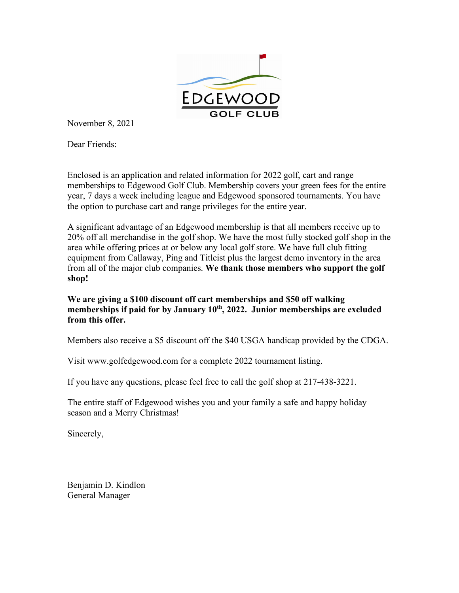

November 8, 2021

Dear Friends:

Enclosed is an application and related information for 2022 golf, cart and range memberships to Edgewood Golf Club. Membership covers your green fees for the entire year, 7 days a week including league and Edgewood sponsored tournaments. You have the option to purchase cart and range privileges for the entire year.

A significant advantage of an Edgewood membership is that all members receive up to 20% off all merchandise in the golf shop. We have the most fully stocked golf shop in the area while offering prices at or below any local golf store. We have full club fitting equipment from Callaway, Ping and Titleist plus the largest demo inventory in the area from all of the major club companies. **We thank those members who support the golf shop!**

**We are giving a \$100 discount off cart memberships and \$50 off walking**  memberships if paid for by January 10<sup>th</sup>, 2022. Junior memberships are excluded **from this offer.**

Members also receive a \$5 discount off the \$40 USGA handicap provided by the CDGA.

Visit www.golfedgewood.com for a complete 2022 tournament listing.

If you have any questions, please feel free to call the golf shop at 217-438-3221.

The entire staff of Edgewood wishes you and your family a safe and happy holiday season and a Merry Christmas!

Sincerely,

Benjamin D. Kindlon General Manager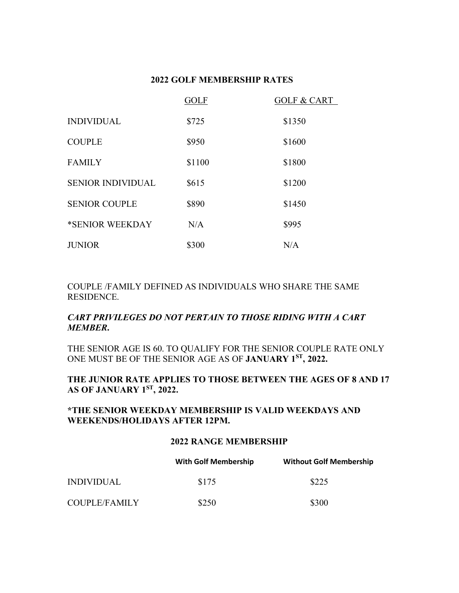# **2022 GOLF MEMBERSHIP RATES**

|                          | <b>GOLF</b> | <b>GOLF &amp; CART</b> |
|--------------------------|-------------|------------------------|
| <b>INDIVIDUAL</b>        | \$725       | \$1350                 |
| <b>COUPLE</b>            | \$950       | \$1600                 |
| <b>FAMILY</b>            | \$1100      | \$1800                 |
| <b>SENIOR INDIVIDUAL</b> | \$615       | \$1200                 |
| <b>SENIOR COUPLE</b>     | \$890       | \$1450                 |
| *SENIOR WEEKDAY          | N/A         | \$995                  |
| <b>JUNIOR</b>            | \$300       | N/A                    |

COUPLE /FAMILY DEFINED AS INDIVIDUALS WHO SHARE THE SAME RESIDENCE.

# *CART PRIVILEGES DO NOT PERTAIN TO THOSE RIDING WITH A CART MEMBER***.**

THE SENIOR AGE IS 60. TO QUALIFY FOR THE SENIOR COUPLE RATE ONLY ONE MUST BE OF THE SENIOR AGE AS OF **JANUARY 1ST, 2022.**

# **THE JUNIOR RATE APPLIES TO THOSE BETWEEN THE AGES OF 8 AND 17 AS OF JANUARY 1ST, 2022.**

# **\*THE SENIOR WEEKDAY MEMBERSHIP IS VALID WEEKDAYS AND WEEKENDS/HOLIDAYS AFTER 12PM.**

#### **2022 RANGE MEMBERSHIP**

|               | <b>With Golf Membership</b> | <b>Without Golf Membership</b> |
|---------------|-----------------------------|--------------------------------|
| INDIVIDUAL    | \$175                       | \$225                          |
| COUPLE/FAMILY | \$250                       | \$300                          |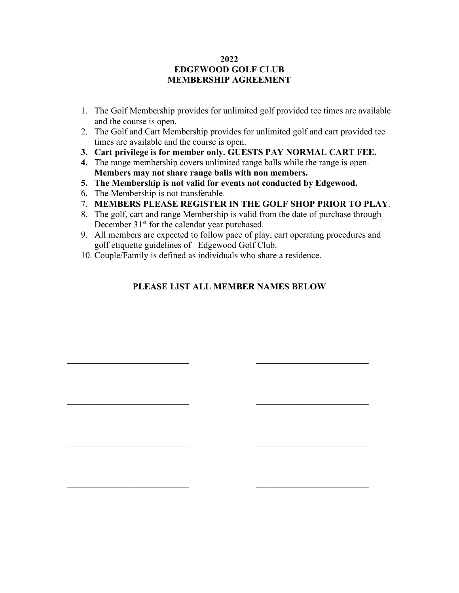### **2022 EDGEWOOD GOLF CLUB MEMBERSHIP AGREEMENT**

- 1. The Golf Membership provides for unlimited golf provided tee times are available and the course is open.
- 2. The Golf and Cart Membership provides for unlimited golf and cart provided tee times are available and the course is open.
- **3. Cart privilege is for member only. GUESTS PAY NORMAL CART FEE.**
- **4.** The range membership covers unlimited range balls while the range is open. **Members may not share range balls with non members.**
- **5. The Membership is not valid for events not conducted by Edgewood.**
- 6. The Membership is not transferable.
- 7. **MEMBERS PLEASE REGISTER IN THE GOLF SHOP PRIOR TO PLAY**.
- 8. The golf, cart and range Membership is valid from the date of purchase through December 31<sup>st</sup> for the calendar year purchased.
- 9. All members are expected to follow pace of play, cart operating procedures and golf etiquette guidelines of Edgewood Golf Club.
- 10. Couple/Family is defined as individuals who share a residence.

# **PLEASE LIST ALL MEMBER NAMES BELOW**

 $\overline{\mathcal{L}}$  , and the contribution of the contribution of the contribution of the contribution of the contribution of the contribution of the contribution of the contribution of the contribution of the contribution of the

 $\overline{\mathcal{L}}$  , and the contribution of the contribution of the contribution of the contribution of the contribution of the contribution of the contribution of the contribution of the contribution of the contribution of the

 $\overline{\mathcal{L}}$  , and the contribution of the contribution of the contribution of the contribution of the contribution of the contribution of the contribution of the contribution of the contribution of the contribution of the